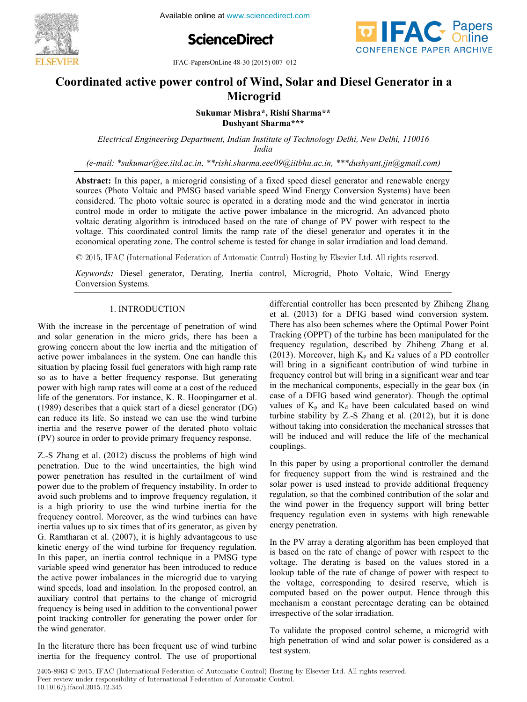

**ScienceDirect**



IFAC-PapersOnLine 48-30 (2015) 007–012

# **Coordinated active power control of Wind, Solar and Diesel Generator in a Microgrid**

**Sukumar Mishra\*, Rishi Sharma\*\* Dushyant Sharma\*\*\***

*Electrical Engineering Department, Indian Institute of Technology Delhi, New Delhi, 110016 India* 

*(e-mail: \*sukumar@ee.iitd.ac.in, \*\*rishi.sharma.eee09@iitbhu.ac.in, \*\*\*dushyant.jjn@gmail.com)* 

**Abstract:** In this paper, a microgrid consisting of a fixed speed diesel generator and renewable energy sources (Photo Voltaic and PMSG based variable speed Wind Energy Conversion Systems) have been considered. The photo voltaic source is operated in a derating mode and the wind generator in inertia control mode in order to mitigate the active power imbalance in the microgrid. An advanced photo voltaic derating algorithm is introduced based on the rate of change of PV power with respect to the voltage. This coordinated control limits the ramp rate of the diesel generator and operates it in the economical operating zone. The control scheme is tested for change in solar irradiation and load demand.

© 2015, IFAC (International Federation of Automatic Control) Hosting by Elsevier Ltd. All rights reserved. *: :*

*: Keywords:* Diesel generator, Derating, Inertia control, Microgrid, Photo Voltaic, Wind Energy *:*Conversion Systems.

# 1. INTRODUCTION

With the increase in the percentage of penetration of wind and solar generation in the micro grids, there has been a growing concern about the low inertia and the mitigation of active power imbalances in the system. One can handle this situation by placing fossil fuel generators with high ramp rate so as to have a better frequency response. But generating power with high ramp rates will come at a cost of the reduced life of the generators. For instance, K. R. Hoopingarner et al. (1989) describes that a quick start of a diesel generator (DG) can reduce its life. So instead we can use the wind turbine inertia and the reserve power of the derated photo voltaic (PV) source in order to provide primary frequency response.

Z.-S Zhang et al. (2012) discuss the problems of high wind penetration. Due to the wind uncertainties, the high wind power penetration has resulted in the curtailment of wind power due to the problem of frequency instability. In order to avoid such problems and to improve frequency regulation, it is a high priority to use the wind turbine inertia for the frequency control. Moreover, as the wind turbines can have inertia values up to six times that of its generator, as given by G. Ramtharan et al. (2007), it is highly advantageous to use kinetic energy of the wind turbine for frequency regulation. In this paper, an inertia control technique in a PMSG type variable speed wind generator has been introduced to reduce the active power imbalances in the microgrid due to varying wind speeds, load and insolation. In the proposed control, an auxiliary control that pertains to the change of microgrid frequency is being used in addition to the conventional power point tracking controller for generating the power order for the wind generator.

In the literature there has been frequent use of wind turbine inertia for the frequency control. The use of proportional differential controller has been presented by Zhiheng Zhang et al. (2013) for a DFIG based wind conversion system. There has also been schemes where the Optimal Power Point Tracking (OPPT) of the turbine has been manipulated for the frequency regulation, described by Zhiheng Zhang et al. (2013). Moreover, high  $K_p$  and  $K_d$  values of a PD controller will bring in a significant contribution of wind turbine in frequency control but will bring in a significant wear and tear in the mechanical components, especially in the gear box (in case of a DFIG based wind generator). Though the optimal values of  $K_p$  and  $K_d$  have been calculated based on wind turbine stability by Z.-S Zhang et al. (2012), but it is done without taking into consideration the mechanical stresses that will be induced and will reduce the life of the mechanical couplings.

In this paper by using a proportional controller the demand for frequency support from the wind is restrained and the solar power is used instead to provide additional frequency regulation, so that the combined contribution of the solar and the wind power in the frequency support will bring better frequency regulation even in systems with high renewable energy penetration.

In the PV array a derating algorithm has been employed that is based on the rate of change of power with respect to the voltage. The derating is based on the values stored in a lookup table of the rate of change of power with respect to the voltage, corresponding to desired reserve, which is computed based on the power output. Hence through this mechanism a constant percentage derating can be obtained irrespective of the solar irradiation.

To validate the proposed control scheme, a microgrid with high penetration of wind and solar power is considered as a test system.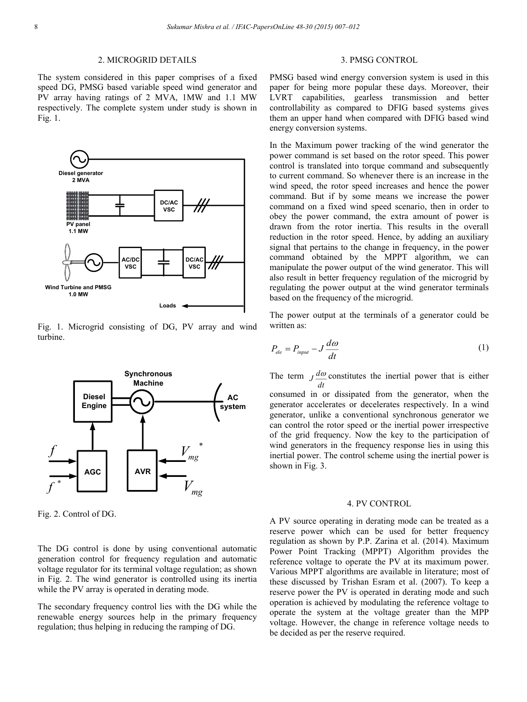## 2. MICROGRID DETAILS

The system considered in this paper comprises of a fixed speed DG, PMSG based variable speed wind generator and PV array having ratings of 2 MVA, 1MW and 1.1 MW respectively. The complete system under study is shown in Fig. 1.



Fig. 1. Microgrid consisting of DG, PV array and wind turbine.



Fig. 2. Control of DG.

The DG control is done by using conventional automatic generation control for frequency regulation and automatic voltage regulator for its terminal voltage regulation; as shown in Fig. 2. The wind generator is controlled using its inertia while the PV array is operated in derating mode.

The secondary frequency control lies with the DG while the renewable energy sources help in the primary frequency regulation; thus helping in reducing the ramping of DG.

#### 3. PMSG CONTROL

PMSG based wind energy conversion system is used in this paper for being more popular these days. Moreover, their LVRT capabilities, gearless transmission and better controllability as compared to DFIG based systems gives them an upper hand when compared with DFIG based wind energy conversion systems.

In the Maximum power tracking of the wind generator the power command is set based on the rotor speed. This power control is translated into torque command and subsequently to current command. So whenever there is an increase in the wind speed, the rotor speed increases and hence the power command. But if by some means we increase the power command on a fixed wind speed scenario, then in order to obey the power command, the extra amount of power is drawn from the rotor inertia. This results in the overall reduction in the rotor speed. Hence, by adding an auxiliary signal that pertains to the change in frequency, in the power command obtained by the MPPT algorithm, we can manipulate the power output of the wind generator. This will also result in better frequency regulation of the microgrid by regulating the power output at the wind generator terminals based on the frequency of the microgrid.

The power output at the terminals of a generator could be written as:

$$
P_{ele} = P_{input} - J \frac{d\omega}{dt}
$$
 (1)

The term  $J\frac{d\omega}{dt}$  constitutes the inertial power that is either *dt* consumed in or dissipated from the generator, when the generator accelerates or decelerates respectively. In a wind generator, unlike a conventional synchronous generator we can control the rotor speed or the inertial power irrespective of the grid frequency. Now the key to the participation of wind generators in the frequency response lies in using this inertial power. The control scheme using the inertial power is shown in Fig. 3.

#### 4. PV CONTROL

A PV source operating in derating mode can be treated as a reserve power which can be used for better frequency regulation as shown by P.P. Zarina et al. (2014). Maximum Power Point Tracking (MPPT) Algorithm provides the reference voltage to operate the PV at its maximum power. Various MPPT algorithms are available in literature; most of these discussed by Trishan Esram et al. (2007). To keep a reserve power the PV is operated in derating mode and such operation is achieved by modulating the reference voltage to operate the system at the voltage greater than the MPP voltage. However, the change in reference voltage needs to be decided as per the reserve required.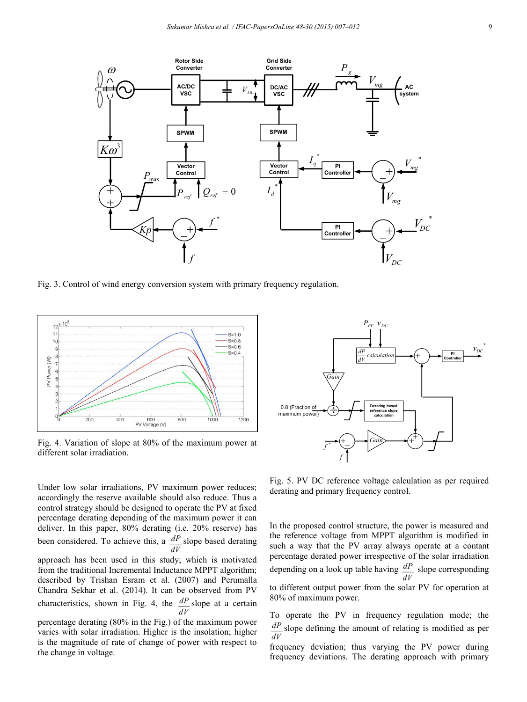

Fig. 3. Control of wind energy conversion system with primary frequency regulation.



Fig. 4. Variation of slope at 80% of the maximum power at different solar irradiation.

Under low solar irradiations, PV maximum power reduces; accordingly the reserve available should also reduce. Thus a control strategy should be designed to operate the PV at fixed percentage derating depending of the maximum power it can deliver. In this paper, 80% derating (i.e. 20% reserve) has been considered. To achieve this, a *dV dP* slope based derating approach has been used in this study; which is motivated from the traditional Incremental Inductance MPPT algorithm; described by Trishan Esram et al. (2007) and Perumalla Chandra Sekhar et al. (2014). It can be observed from PV characteristics, shown in Fig. 4, the *dV dP* slope at a certain percentage derating (80% in the Fig.) of the maximum power

varies with solar irradiation. Higher is the insolation; higher is the magnitude of rate of change of power with respect to the change in voltage.



Fig. 5. PV DC reference voltage calculation as per required derating and primary frequency control.

In the proposed control structure, the power is measured and the reference voltage from MPPT algorithm is modified in such a way that the PV array always operate at a contant percentage derated power irrespective of the solar irradiation depending on a look up table having *dV dP* slope corresponding to different output power from the solar PV for operation at 80% of maximum power.

To operate the PV in frequency regulation mode; the *dV dP* slope defining the amount of relating is modified as per

frequency deviation; thus varying the PV power during frequency deviations. The derating approach with primary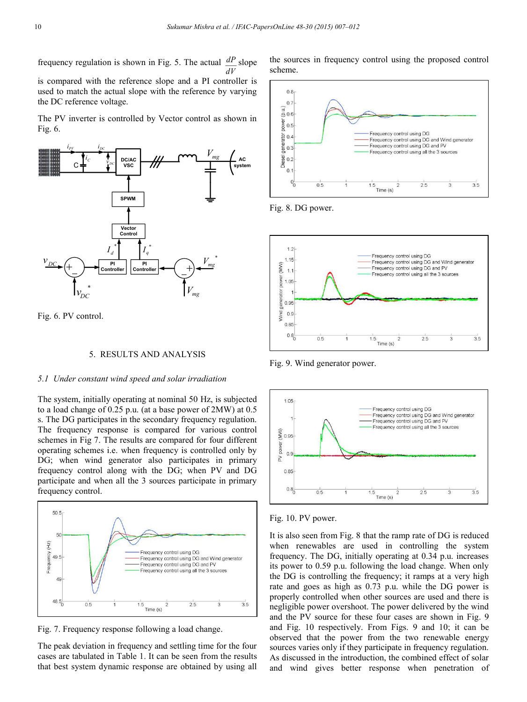frequency regulation is shown in Fig. 5. The actual *dP* slope *dV*

is compared with the reference slope and a PI controller is used to match the actual slope with the reference by varying the DC reference voltage.

The PV inverter is controlled by Vector control as shown in Fig. 6.



Fig. 6. PV control.

## 5. RESULTS AND ANALYSIS

## *5.1 Under constant wind speed and solar irradiation*

The system, initially operating at nominal 50 Hz, is subjected to a load change of 0.25 p.u. (at a base power of 2MW) at 0.5 s. The DG participates in the secondary frequency regulation. The frequency response is compared for various control schemes in Fig 7. The results are compared for four different operating schemes i.e. when frequency is controlled only by DG; when wind generator also participates in primary frequency control along with the DG; when PV and DG participate and when all the 3 sources participate in primary frequency control.



Fig. 7. Frequency response following a load change.

The peak deviation in frequency and settling time for the four cases are tabulated in Table 1. It can be seen from the results that best system dynamic response are obtained by using all the sources in frequency control using the proposed control scheme.







Fig. 9. Wind generator power.



Fig. 10. PV power.

It is also seen from Fig. 8 that the ramp rate of DG is reduced when renewables are used in controlling the system frequency. The DG, initially operating at 0.34 p.u. increases its power to 0.59 p.u. following the load change. When only the DG is controlling the frequency; it ramps at a very high rate and goes as high as 0.73 p.u. while the DG power is properly controlled when other sources are used and there is negligible power overshoot. The power delivered by the wind and the PV source for these four cases are shown in Fig. 9 and Fig. 10 respectively. From Figs. 9 and 10; it can be observed that the power from the two renewable energy sources varies only if they participate in frequency regulation. As discussed in the introduction, the combined effect of solar and wind gives better response when penetration of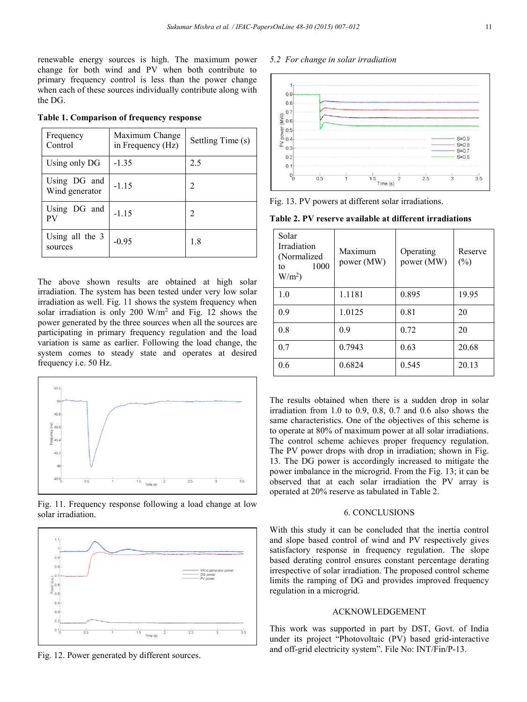renewable energy sources is high. The maximum power change for both wind and PV when both contribute to primary frequency control is less than the power change when each of these sources individually contribute along with the DG.

**Table 1. Comparison of frequency response**

| Frequency<br>Control           | Maximum Change<br>in Frequency (Hz) | Settling Time (s) |
|--------------------------------|-------------------------------------|-------------------|
| Using only DG                  | $-1.35$                             | 2.5               |
| Using DG and<br>Wind generator | $-1.15$                             | 2                 |
| Using DG and<br>PV             | $-1.15$                             | 2                 |
| Using all the 3<br>sources     | $-0.95$                             | 1.8               |

The above shown results are obtained at high solar irradiation. The system has been tested under very low solar irradiation as well. Fig. 11 shows the system frequency when solar irradiation is only 200  $W/m^2$  and Fig. 12 shows the power generated by the three sources when all the sources are participating in primary frequency regulation and the load variation is same as earlier. Following the load change, the system comes to steady state and operates at desired frequency i.e. 50 Hz.



Fig. 11. Frequency response following a load change at low solar irradiation.



Fig. 12. Power generated by different sources.

#### *5.2 For change in solar irradiation*



Fig. 13. PV powers at different solar irradiations.

**Table 2. PV reserve available at different irradiations**

| Solar<br>Irradiation<br>(Normalized)<br>1000<br>to<br>$W/m^2$ | Maximum<br>power (MW) | Operating<br>power (MW) | Reserve<br>$(\%)$ |
|---------------------------------------------------------------|-----------------------|-------------------------|-------------------|
| 1.0                                                           | 1.1181                | 0.895                   | 19.95             |
| 09                                                            | 1.0125                | 0.81                    | 20                |
| 0.8                                                           | 0.9                   | 0.72                    | 20                |
| 0.7                                                           | 0.7943                | 0.63                    | 20.68             |
| 0.6                                                           | 0.6824                | 0.545                   | 20.13             |

The results obtained when there is a sudden drop in solar irradiation from 1.0 to 0.9, 0.8, 0.7 and 0.6 also shows the same characteristics. One of the objectives of this scheme is to operate at 80% of maximum power at all solar irradiations. The control scheme achieves proper frequency regulation. The PV power drops with drop in irradiation; shown in Fig. 13. The DG power is accordingly increased to mitigate the power imbalance in the microgrid. From the Fig. 13; it can be observed that at each solar irradiation the PV array is operated at 20% reserve as tabulated in Table 2.

## 6. CONCLUSIONS

With this study it can be concluded that the inertia control and slope based control of wind and PV respectively gives satisfactory response in frequency regulation. The slope based derating control ensures constant percentage derating irrespective of solar irradiation. The proposed control scheme limits the ramping of DG and provides improved frequency regulation in a microgrid.

### ACKNOWLEDGEMENT

This work was supported in part by DST, Govt. of India under its project "Photovoltaic (PV) based grid-interactive and off-grid electricity system". File No: INT/Fin/P-13.